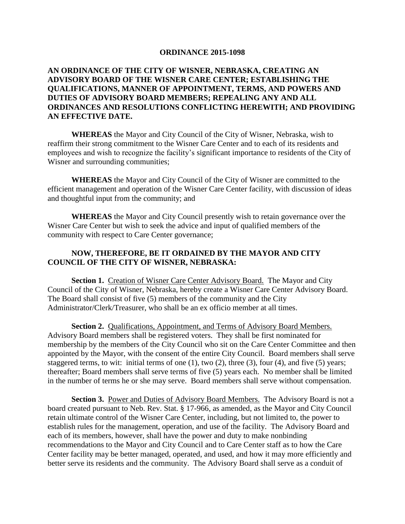## **ORDINANCE 2015-1098**

## **AN ORDINANCE OF THE CITY OF WISNER, NEBRASKA, CREATING AN ADVISORY BOARD OF THE WISNER CARE CENTER; ESTABLISHING THE QUALIFICATIONS, MANNER OF APPOINTMENT, TERMS, AND POWERS AND DUTIES OF ADVISORY BOARD MEMBERS; REPEALING ANY AND ALL ORDINANCES AND RESOLUTIONS CONFLICTING HEREWITH; AND PROVIDING AN EFFECTIVE DATE.**

**WHEREAS** the Mayor and City Council of the City of Wisner, Nebraska, wish to reaffirm their strong commitment to the Wisner Care Center and to each of its residents and employees and wish to recognize the facility's significant importance to residents of the City of Wisner and surrounding communities;

**WHEREAS** the Mayor and City Council of the City of Wisner are committed to the efficient management and operation of the Wisner Care Center facility, with discussion of ideas and thoughtful input from the community; and

**WHEREAS** the Mayor and City Council presently wish to retain governance over the Wisner Care Center but wish to seek the advice and input of qualified members of the community with respect to Care Center governance;

## **NOW, THEREFORE, BE IT ORDAINED BY THE MAYOR AND CITY COUNCIL OF THE CITY OF WISNER, NEBRASKA:**

**Section 1.** Creation of Wisner Care Center Advisory Board. The Mayor and City Council of the City of Wisner, Nebraska, hereby create a Wisner Care Center Advisory Board. The Board shall consist of five (5) members of the community and the City Administrator/Clerk/Treasurer, who shall be an ex officio member at all times.

**Section 2.** Qualifications, Appointment, and Terms of Advisory Board Members. Advisory Board members shall be registered voters. They shall be first nominated for membership by the members of the City Council who sit on the Care Center Committee and then appointed by the Mayor, with the consent of the entire City Council. Board members shall serve staggered terms, to wit: initial terms of one  $(1)$ , two  $(2)$ , three  $(3)$ , four  $(4)$ , and five  $(5)$  years; thereafter; Board members shall serve terms of five (5) years each. No member shall be limited in the number of terms he or she may serve. Board members shall serve without compensation.

**Section 3.** Power and Duties of Advisory Board Members. The Advisory Board is not a board created pursuant to Neb. Rev. Stat. § 17-966, as amended, as the Mayor and City Council retain ultimate control of the Wisner Care Center, including, but not limited to, the power to establish rules for the management, operation, and use of the facility. The Advisory Board and each of its members, however, shall have the power and duty to make nonbinding recommendations to the Mayor and City Council and to Care Center staff as to how the Care Center facility may be better managed, operated, and used, and how it may more efficiently and better serve its residents and the community. The Advisory Board shall serve as a conduit of